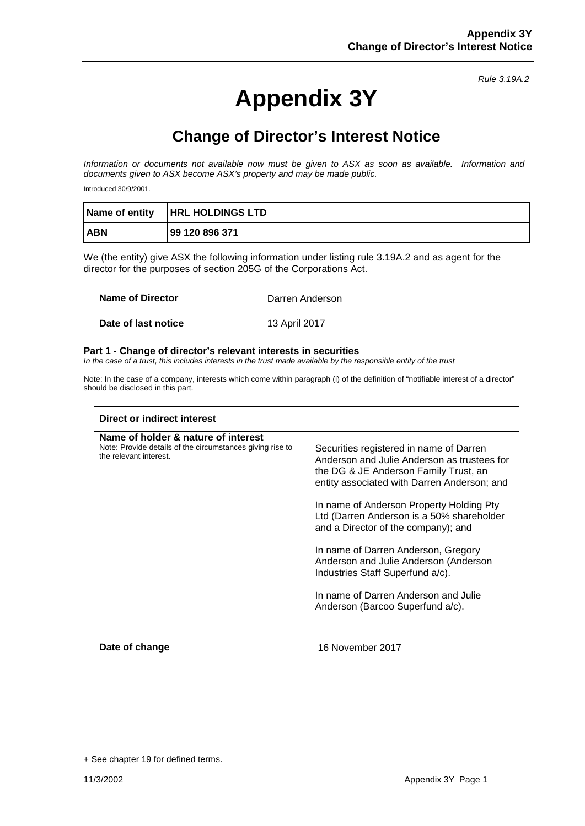# **Appendix 3Y**

## **Change of Director's Interest Notice**

*Information or documents not available now must be given to ASX as soon as available. Information and documents given to ASX become ASX's property and may be made public.*

Introduced 30/9/2001.

|            | Name of entity   HRL HOLDINGS LTD |
|------------|-----------------------------------|
| <b>ABN</b> | 99 120 896 371                    |

We (the entity) give ASX the following information under listing rule 3.19A.2 and as agent for the director for the purposes of section 205G of the Corporations Act.

| <b>Name of Director</b>    | Darren Anderson |
|----------------------------|-----------------|
| <b>Date of last notice</b> | 13 April 2017   |

#### **Part 1 - Change of director's relevant interests in securities**

*In the case of a trust, this includes interests in the trust made available by the responsible entity of the trust*

| Direct or indirect interest                                                                                                |                                                                                                                                                                                                                                                                                                                                                                                                                                                                                                                |
|----------------------------------------------------------------------------------------------------------------------------|----------------------------------------------------------------------------------------------------------------------------------------------------------------------------------------------------------------------------------------------------------------------------------------------------------------------------------------------------------------------------------------------------------------------------------------------------------------------------------------------------------------|
| Name of holder & nature of interest<br>Note: Provide details of the circumstances giving rise to<br>the relevant interest. | Securities registered in name of Darren<br>Anderson and Julie Anderson as trustees for<br>the DG & JE Anderson Family Trust, an<br>entity associated with Darren Anderson; and<br>In name of Anderson Property Holding Pty<br>Ltd (Darren Anderson is a 50% shareholder<br>and a Director of the company); and<br>In name of Darren Anderson, Gregory<br>Anderson and Julie Anderson (Anderson<br>Industries Staff Superfund a/c).<br>In name of Darren Anderson and Julie<br>Anderson (Barcoo Superfund a/c). |
| Date of change                                                                                                             | 16 November 2017                                                                                                                                                                                                                                                                                                                                                                                                                                                                                               |

<sup>+</sup> See chapter 19 for defined terms.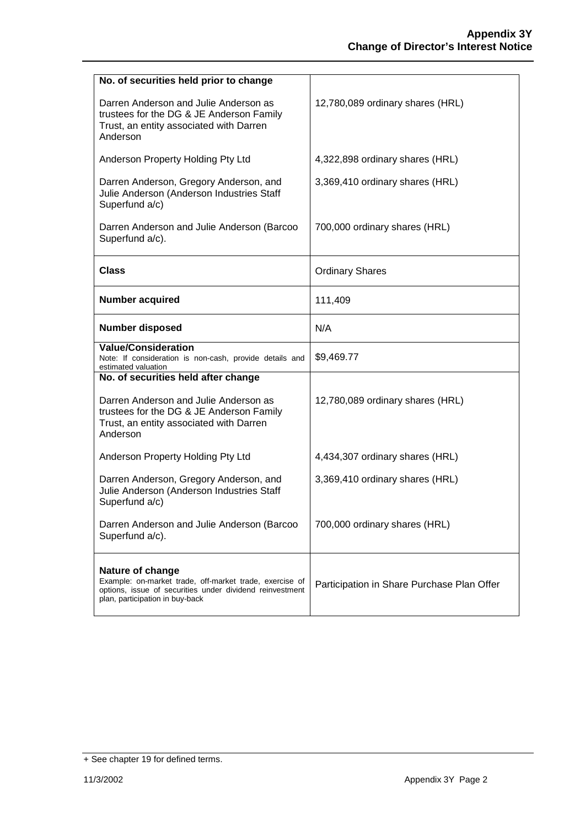| No. of securities held prior to change                                                                                                                                     |                                            |
|----------------------------------------------------------------------------------------------------------------------------------------------------------------------------|--------------------------------------------|
| Darren Anderson and Julie Anderson as<br>trustees for the DG & JE Anderson Family<br>Trust, an entity associated with Darren<br>Anderson                                   | 12,780,089 ordinary shares (HRL)           |
| Anderson Property Holding Pty Ltd                                                                                                                                          | 4,322,898 ordinary shares (HRL)            |
| Darren Anderson, Gregory Anderson, and<br>Julie Anderson (Anderson Industries Staff<br>Superfund a/c)                                                                      | 3,369,410 ordinary shares (HRL)            |
| Darren Anderson and Julie Anderson (Barcoo<br>Superfund a/c).                                                                                                              | 700,000 ordinary shares (HRL)              |
| <b>Class</b>                                                                                                                                                               | <b>Ordinary Shares</b>                     |
| <b>Number acquired</b>                                                                                                                                                     | 111,409                                    |
| <b>Number disposed</b>                                                                                                                                                     | N/A                                        |
| <b>Value/Consideration</b><br>Note: If consideration is non-cash, provide details and<br>estimated valuation                                                               | \$9,469.77                                 |
| No. of securities held after change                                                                                                                                        |                                            |
| Darren Anderson and Julie Anderson as<br>trustees for the DG & JE Anderson Family<br>Trust, an entity associated with Darren<br>Anderson                                   | 12,780,089 ordinary shares (HRL)           |
| Anderson Property Holding Pty Ltd                                                                                                                                          | 4,434,307 ordinary shares (HRL)            |
| Darren Anderson, Gregory Anderson, and<br>Julie Anderson (Anderson Industries Staff<br>Superfund a/c)                                                                      | 3,369,410 ordinary shares (HRL)            |
| Darren Anderson and Julie Anderson (Barcoo<br>Superfund a/c).                                                                                                              | 700,000 ordinary shares (HRL)              |
| Nature of change<br>Example: on-market trade, off-market trade, exercise of<br>options, issue of securities under dividend reinvestment<br>plan, participation in buy-back | Participation in Share Purchase Plan Offer |

<sup>+</sup> See chapter 19 for defined terms.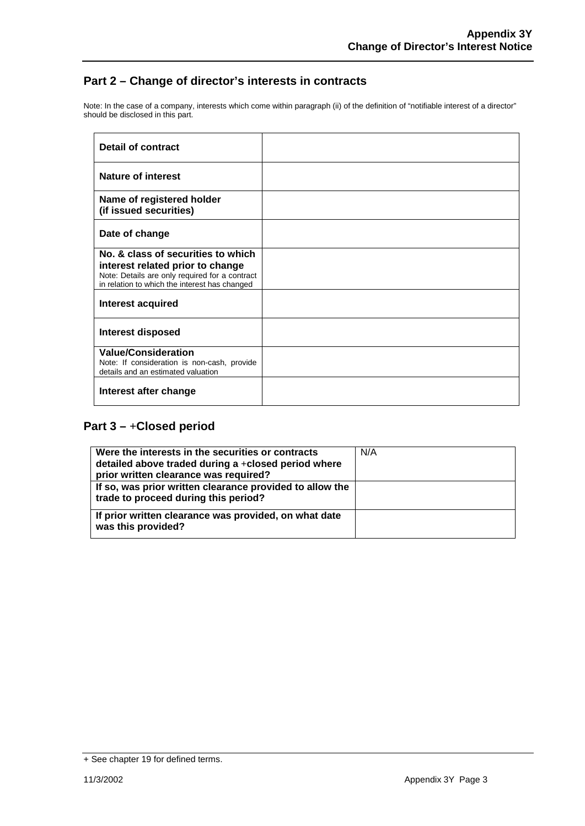Note: In the case of a company, interests which come within paragraph (ii) of the definition of "notifiable interest of a director" should be disclosed in this part.

| Detail of contract                                                                                                                                                        |  |
|---------------------------------------------------------------------------------------------------------------------------------------------------------------------------|--|
| Nature of interest                                                                                                                                                        |  |
| Name of registered holder<br>(if issued securities)                                                                                                                       |  |
| Date of change                                                                                                                                                            |  |
| No. & class of securities to which<br>interest related prior to change<br>Note: Details are only required for a contract<br>in relation to which the interest has changed |  |
| Interest acquired                                                                                                                                                         |  |
| <b>Interest disposed</b>                                                                                                                                                  |  |
| <b>Value/Consideration</b><br>Note: If consideration is non-cash, provide<br>details and an estimated valuation                                                           |  |
| Interest after change                                                                                                                                                     |  |

| Were the interests in the securities or contracts<br>detailed above traded during a +closed period where<br>prior written clearance was required? | N/A |
|---------------------------------------------------------------------------------------------------------------------------------------------------|-----|
| If so, was prior written clearance provided to allow the<br>trade to proceed during this period?                                                  |     |
| If prior written clearance was provided, on what date<br>was this provided?                                                                       |     |

<sup>+</sup> See chapter 19 for defined terms.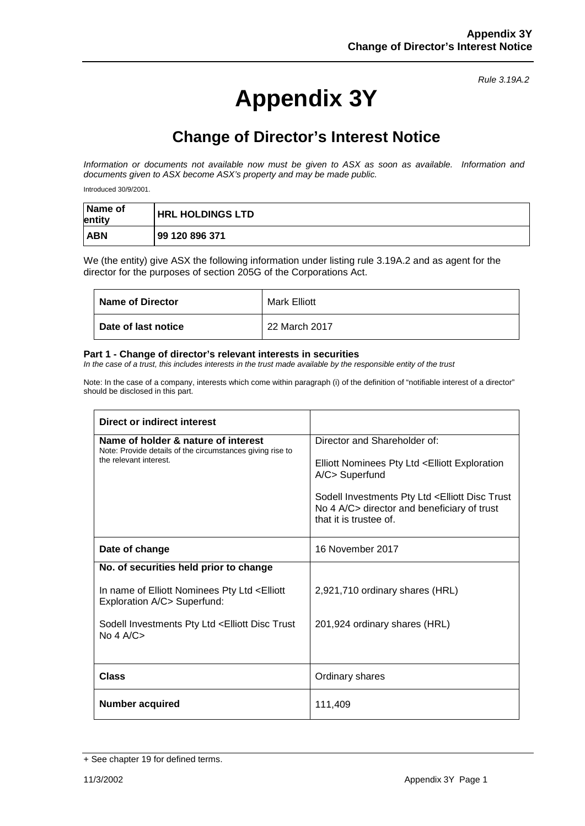# **Appendix 3Y**

## **Change of Director's Interest Notice**

*Information or documents not available now must be given to ASX as soon as available. Information and documents given to ASX become ASX's property and may be made public.*

Introduced 30/9/2001.

| Name of<br>entity | <b>HRL HOLDINGS LTD</b> |
|-------------------|-------------------------|
| <b>ABN</b>        | 99 120 896 371          |

We (the entity) give ASX the following information under listing rule 3.19A.2 and as agent for the director for the purposes of section 205G of the Corporations Act.

| <b>Name of Director</b> | Mark Elliott  |
|-------------------------|---------------|
| Date of last notice     | 22 March 2017 |

#### **Part 1 - Change of director's relevant interests in securities**

*In the case of a trust, this includes interests in the trust made available by the responsible entity of the trust*

| Direct or indirect interest                                                                      |                                                                                                                                             |
|--------------------------------------------------------------------------------------------------|---------------------------------------------------------------------------------------------------------------------------------------------|
| Name of holder & nature of interest<br>Note: Provide details of the circumstances giving rise to | Director and Shareholder of:                                                                                                                |
| the relevant interest.                                                                           | Elliott Nominees Pty Ltd < Elliott Exploration<br>A/C> Superfund                                                                            |
|                                                                                                  | Sodell Investments Pty Ltd <elliott disc="" trust<br="">No 4 A/C&gt; director and beneficiary of trust<br/>that it is trustee of.</elliott> |
| Date of change                                                                                   | 16 November 2017                                                                                                                            |
| No. of securities held prior to change                                                           |                                                                                                                                             |
| In name of Elliott Nominees Pty Ltd <elliott<br>Exploration A/C&gt; Superfund:</elliott<br>      | 2,921,710 ordinary shares (HRL)                                                                                                             |
| Sodell Investments Pty Ltd <elliott disc="" trust<br="">No 4 <math>A/C</math></elliott>          | 201,924 ordinary shares (HRL)                                                                                                               |
|                                                                                                  |                                                                                                                                             |
| <b>Class</b>                                                                                     | Ordinary shares                                                                                                                             |
| Number acquired                                                                                  | 111,409                                                                                                                                     |

<sup>+</sup> See chapter 19 for defined terms.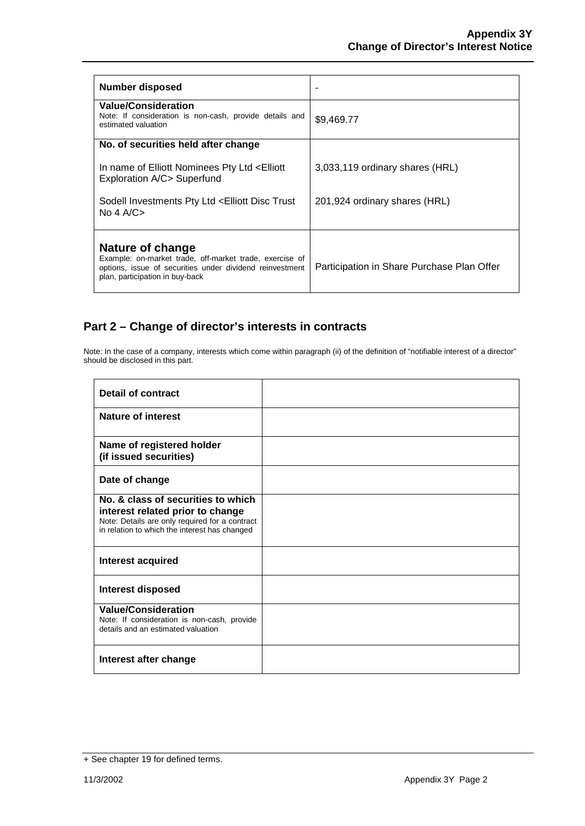| <b>Number disposed</b>                                                                                                                                                     |                                            |
|----------------------------------------------------------------------------------------------------------------------------------------------------------------------------|--------------------------------------------|
| <b>Value/Consideration</b><br>Note: If consideration is non-cash, provide details and<br>estimated valuation                                                               | \$9,469.77                                 |
| No. of securities held after change                                                                                                                                        |                                            |
| In name of Elliott Nominees Pty Ltd <elliott<br>Exploration A/C&gt; Superfund</elliott<br>                                                                                 | 3,033,119 ordinary shares (HRL)            |
| Sodell Investments Pty Ltd <elliott disc="" trust<br="">No 4 A/C<math>&gt;</math></elliott>                                                                                | 201,924 ordinary shares (HRL)              |
| Nature of change<br>Example: on-market trade, off-market trade, exercise of<br>options, issue of securities under dividend reinvestment<br>plan, participation in buy-back | Participation in Share Purchase Plan Offer |

| <b>Detail of contract</b>                                                                                                                                                 |  |
|---------------------------------------------------------------------------------------------------------------------------------------------------------------------------|--|
| <b>Nature of interest</b>                                                                                                                                                 |  |
| Name of registered holder<br>(if issued securities)                                                                                                                       |  |
| Date of change                                                                                                                                                            |  |
| No. & class of securities to which<br>interest related prior to change<br>Note: Details are only required for a contract<br>in relation to which the interest has changed |  |
| Interest acquired                                                                                                                                                         |  |
| <b>Interest disposed</b>                                                                                                                                                  |  |
| <b>Value/Consideration</b><br>Note: If consideration is non-cash, provide<br>details and an estimated valuation                                                           |  |
| Interest after change                                                                                                                                                     |  |

<sup>+</sup> See chapter 19 for defined terms.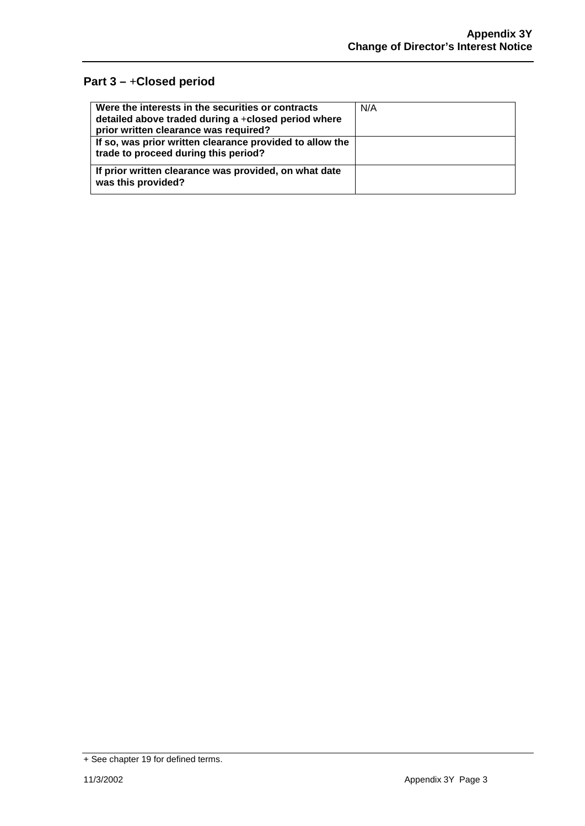| Were the interests in the securities or contracts<br>detailed above traded during a +closed period where<br>prior written clearance was required? | N/A |
|---------------------------------------------------------------------------------------------------------------------------------------------------|-----|
| If so, was prior written clearance provided to allow the<br>trade to proceed during this period?                                                  |     |
| If prior written clearance was provided, on what date<br>was this provided?                                                                       |     |

<sup>+</sup> See chapter 19 for defined terms.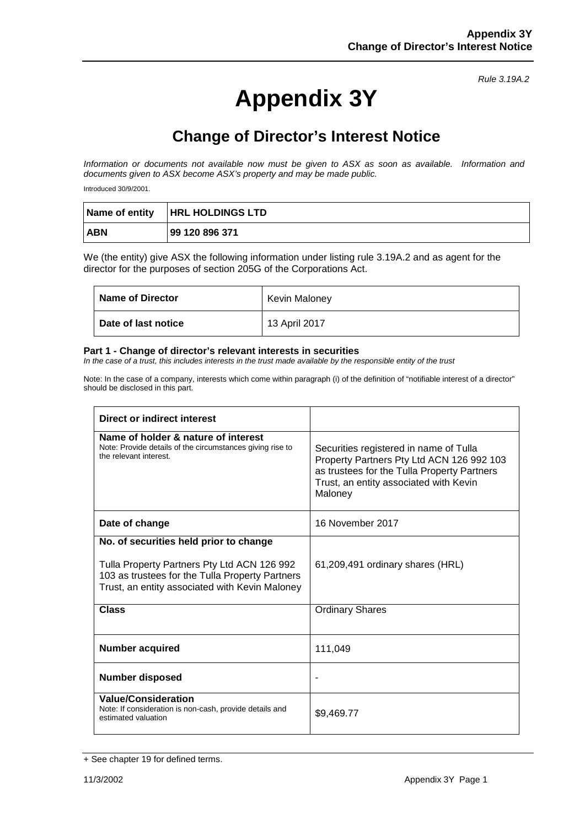# **Appendix 3Y**

## **Change of Director's Interest Notice**

*Information or documents not available now must be given to ASX as soon as available. Information and documents given to ASX become ASX's property and may be made public.*

Introduced 30/9/2001.

|            | Name of entity   HRL HOLDINGS LTD |
|------------|-----------------------------------|
| <b>ABN</b> | 99 120 896 371                    |

We (the entity) give ASX the following information under listing rule 3.19A.2 and as agent for the director for the purposes of section 205G of the Corporations Act.

| <b>Name of Director</b>    | Kevin Maloney |
|----------------------------|---------------|
| <b>Date of last notice</b> | 13 April 2017 |

#### **Part 1 - Change of director's relevant interests in securities**

*In the case of a trust, this includes interests in the trust made available by the responsible entity of the trust*

| Direct or indirect interest                                                                                                                                                                |                                                                                                                                                                                         |
|--------------------------------------------------------------------------------------------------------------------------------------------------------------------------------------------|-----------------------------------------------------------------------------------------------------------------------------------------------------------------------------------------|
| Name of holder & nature of interest<br>Note: Provide details of the circumstances giving rise to<br>the relevant interest.                                                                 | Securities registered in name of Tulla<br>Property Partners Pty Ltd ACN 126 992 103<br>as trustees for the Tulla Property Partners<br>Trust, an entity associated with Kevin<br>Maloney |
| Date of change                                                                                                                                                                             | 16 November 2017                                                                                                                                                                        |
| No. of securities held prior to change<br>Tulla Property Partners Pty Ltd ACN 126 992<br>103 as trustees for the Tulla Property Partners<br>Trust, an entity associated with Kevin Maloney | 61,209,491 ordinary shares (HRL)                                                                                                                                                        |
| Class                                                                                                                                                                                      | <b>Ordinary Shares</b>                                                                                                                                                                  |
| <b>Number acquired</b>                                                                                                                                                                     | 111,049                                                                                                                                                                                 |
| <b>Number disposed</b>                                                                                                                                                                     |                                                                                                                                                                                         |
| <b>Value/Consideration</b><br>Note: If consideration is non-cash, provide details and<br>estimated valuation                                                                               | \$9,469.77                                                                                                                                                                              |

<sup>+</sup> See chapter 19 for defined terms.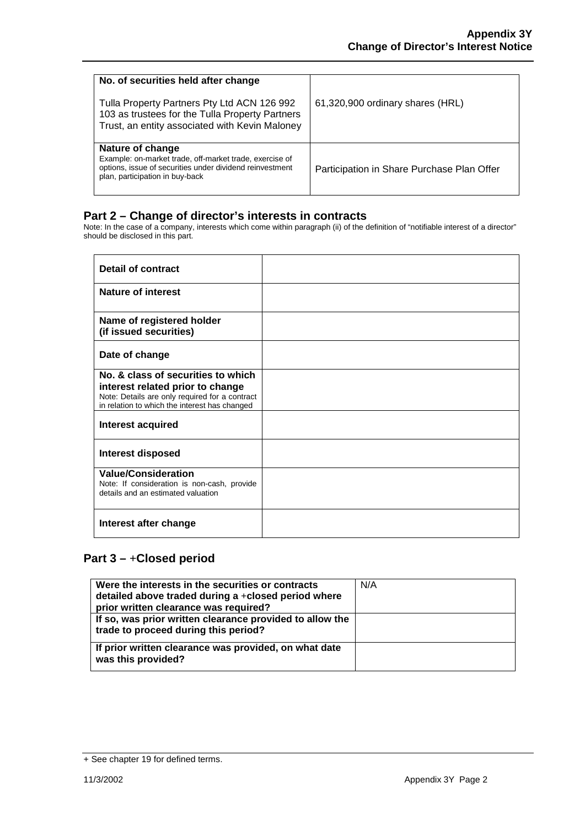| No. of securities held after change<br>Tulla Property Partners Pty Ltd ACN 126 992<br>103 as trustees for the Tulla Property Partners<br>Trust, an entity associated with Kevin Maloney | 61,320,900 ordinary shares (HRL)           |
|-----------------------------------------------------------------------------------------------------------------------------------------------------------------------------------------|--------------------------------------------|
| Nature of change<br>Example: on-market trade, off-market trade, exercise of<br>options, issue of securities under dividend reinvestment<br>plan, participation in buy-back              | Participation in Share Purchase Plan Offer |

Note: In the case of a company, interests which come within paragraph (ii) of the definition of "notifiable interest of a director" should be disclosed in this part.

| <b>Detail of contract</b>                                                                                                                                                 |  |
|---------------------------------------------------------------------------------------------------------------------------------------------------------------------------|--|
| Nature of interest                                                                                                                                                        |  |
| Name of registered holder<br>(if issued securities)                                                                                                                       |  |
| Date of change                                                                                                                                                            |  |
| No. & class of securities to which<br>interest related prior to change<br>Note: Details are only required for a contract<br>in relation to which the interest has changed |  |
| Interest acquired                                                                                                                                                         |  |
| <b>Interest disposed</b>                                                                                                                                                  |  |
| <b>Value/Consideration</b><br>Note: If consideration is non-cash, provide<br>details and an estimated valuation                                                           |  |
| Interest after change                                                                                                                                                     |  |

| Were the interests in the securities or contracts<br>detailed above traded during a +closed period where<br>prior written clearance was required? | N/A |
|---------------------------------------------------------------------------------------------------------------------------------------------------|-----|
| If so, was prior written clearance provided to allow the<br>trade to proceed during this period?                                                  |     |
| If prior written clearance was provided, on what date<br>was this provided?                                                                       |     |

<sup>+</sup> See chapter 19 for defined terms.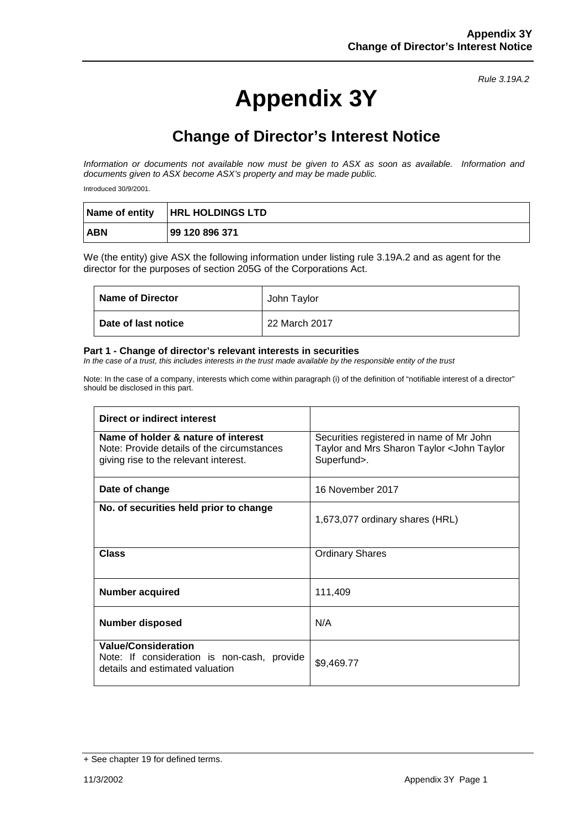# **Appendix 3Y**

## **Change of Director's Interest Notice**

*Information or documents not available now must be given to ASX as soon as available. Information and documents given to ASX become ASX's property and may be made public.*

Introduced 30/9/2001.

|            | Name of entity   HRL HOLDINGS LTD |
|------------|-----------------------------------|
| <b>ABN</b> | 99 120 896 371                    |

We (the entity) give ASX the following information under listing rule 3.19A.2 and as agent for the director for the purposes of section 205G of the Corporations Act.

| <b>Name of Director</b> | John Taylor   |
|-------------------------|---------------|
| Date of last notice     | 22 March 2017 |

#### **Part 1 - Change of director's relevant interests in securities**

*In the case of a trust, this includes interests in the trust made available by the responsible entity of the trust*

| Direct or indirect interest                                                                                                |                                                                                                       |
|----------------------------------------------------------------------------------------------------------------------------|-------------------------------------------------------------------------------------------------------|
| Name of holder & nature of interest<br>Note: Provide details of the circumstances<br>giving rise to the relevant interest. | Securities registered in name of Mr John<br>Taylor and Mrs Sharon Taylor < John Taylor<br>Superfund>. |
| Date of change                                                                                                             | 16 November 2017                                                                                      |
| No. of securities held prior to change                                                                                     | 1,673,077 ordinary shares (HRL)                                                                       |
| <b>Class</b>                                                                                                               | <b>Ordinary Shares</b>                                                                                |
| <b>Number acquired</b>                                                                                                     | 111,409                                                                                               |
| <b>Number disposed</b>                                                                                                     | N/A                                                                                                   |
| <b>Value/Consideration</b><br>Note: If consideration is non-cash, provide<br>details and estimated valuation               | \$9,469.77                                                                                            |

<sup>+</sup> See chapter 19 for defined terms.